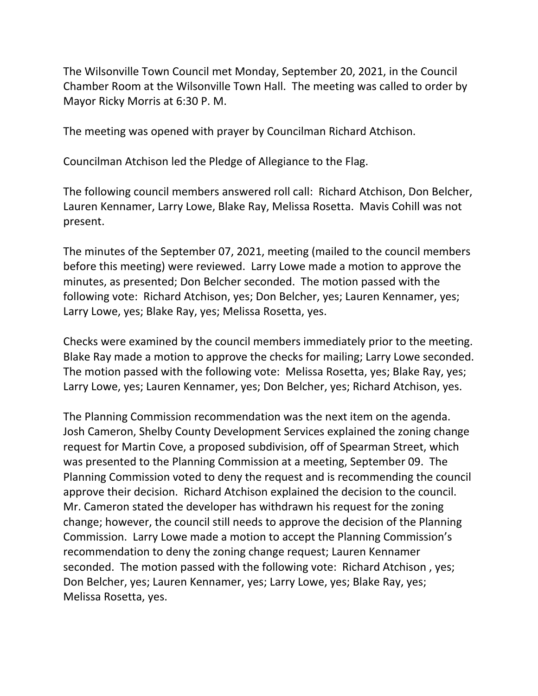The Wilsonville Town Council met Monday, September 20, 2021, in the Council Chamber Room at the Wilsonville Town Hall. The meeting was called to order by Mayor Ricky Morris at 6:30 P. M.

The meeting was opened with prayer by Councilman Richard Atchison.

Councilman Atchison led the Pledge of Allegiance to the Flag.

The following council members answered roll call: Richard Atchison, Don Belcher, Lauren Kennamer, Larry Lowe, Blake Ray, Melissa Rosetta. Mavis Cohill was not present.

The minutes of the September 07, 2021, meeting (mailed to the council members before this meeting) were reviewed. Larry Lowe made a motion to approve the minutes, as presented; Don Belcher seconded. The motion passed with the following vote: Richard Atchison, yes; Don Belcher, yes; Lauren Kennamer, yes; Larry Lowe, yes; Blake Ray, yes; Melissa Rosetta, yes.

Checks were examined by the council members immediately prior to the meeting. Blake Ray made a motion to approve the checks for mailing; Larry Lowe seconded. The motion passed with the following vote: Melissa Rosetta, yes; Blake Ray, yes; Larry Lowe, yes; Lauren Kennamer, yes; Don Belcher, yes; Richard Atchison, yes.

The Planning Commission recommendation was the next item on the agenda. Josh Cameron, Shelby County Development Services explained the zoning change request for Martin Cove, a proposed subdivision, off of Spearman Street, which was presented to the Planning Commission at a meeting, September 09. The Planning Commission voted to deny the request and is recommending the council approve their decision. Richard Atchison explained the decision to the council. Mr. Cameron stated the developer has withdrawn his request for the zoning change; however, the council still needs to approve the decision of the Planning Commission. Larry Lowe made a motion to accept the Planning Commission's recommendation to deny the zoning change request; Lauren Kennamer seconded. The motion passed with the following vote: Richard Atchison , yes; Don Belcher, yes; Lauren Kennamer, yes; Larry Lowe, yes; Blake Ray, yes; Melissa Rosetta, yes.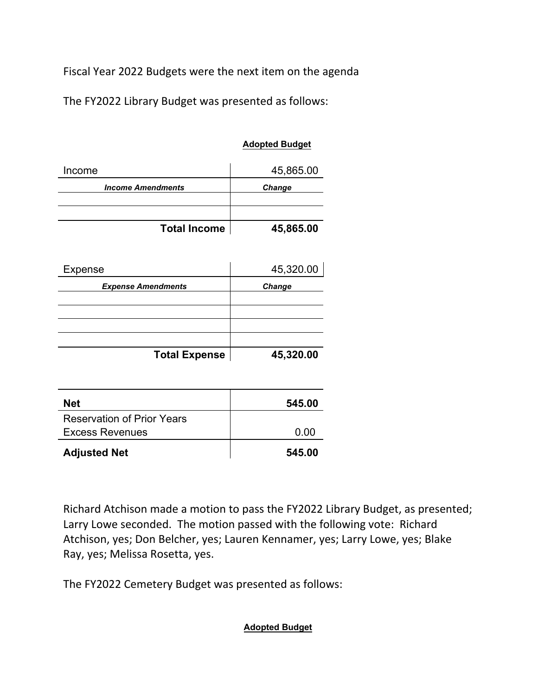Fiscal Year 2022 Budgets were the next item on the agenda

The FY2022 Library Budget was presented as follows:

## **Adopted Budget**

| Income                   | 45,865.00     |
|--------------------------|---------------|
| <b>Income Amendments</b> | <b>Change</b> |
|                          |               |
| <b>Total Income</b>      | 45,865.00     |

| Expense                   | 45,320.00     |
|---------------------------|---------------|
| <b>Expense Amendments</b> | <b>Change</b> |
|                           |               |
|                           |               |
|                           |               |
| <b>Total Expense</b>      | 45,320.00     |

| <b>Net</b>                        | 545.00 |
|-----------------------------------|--------|
| <b>Reservation of Prior Years</b> |        |
| <b>Excess Revenues</b>            | 0.00   |
| <b>Adjusted Net</b>               | 545.00 |

Richard Atchison made a motion to pass the FY2022 Library Budget, as presented; Larry Lowe seconded. The motion passed with the following vote: Richard Atchison, yes; Don Belcher, yes; Lauren Kennamer, yes; Larry Lowe, yes; Blake Ray, yes; Melissa Rosetta, yes.

The FY2022 Cemetery Budget was presented as follows:

**Adopted Budget**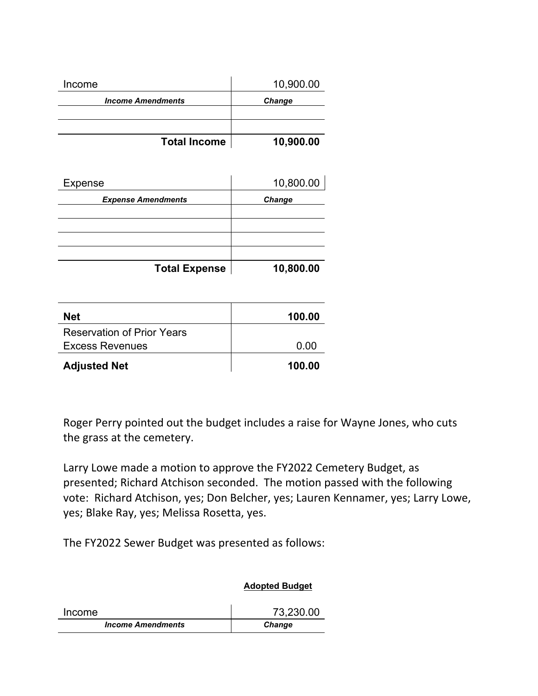| Income                   | 10,900.00     |
|--------------------------|---------------|
| <b>Income Amendments</b> | <b>Change</b> |
|                          |               |
| <b>Total Income</b>      | 10,900.00     |

| Expense                   | 10,800.00 |
|---------------------------|-----------|
| <b>Expense Amendments</b> | Change    |
|                           |           |
|                           |           |
|                           |           |
| <b>Total Expense</b>      | 10,800.00 |

| <b>Net</b>                        | 100.00 |
|-----------------------------------|--------|
| <b>Reservation of Prior Years</b> |        |
| <b>Excess Revenues</b>            | 0.00   |
| <b>Adjusted Net</b>               | 100.00 |

Roger Perry pointed out the budget includes a raise for Wayne Jones, who cuts the grass at the cemetery.

Larry Lowe made a motion to approve the FY2022 Cemetery Budget, as presented; Richard Atchison seconded. The motion passed with the following vote: Richard Atchison, yes; Don Belcher, yes; Lauren Kennamer, yes; Larry Lowe, yes; Blake Ray, yes; Melissa Rosetta, yes.

The FY2022 Sewer Budget was presented as follows:

## **Adopted Budget**

| Income                   | 73,230.00     |
|--------------------------|---------------|
| <b>Income Amendments</b> | <b>Change</b> |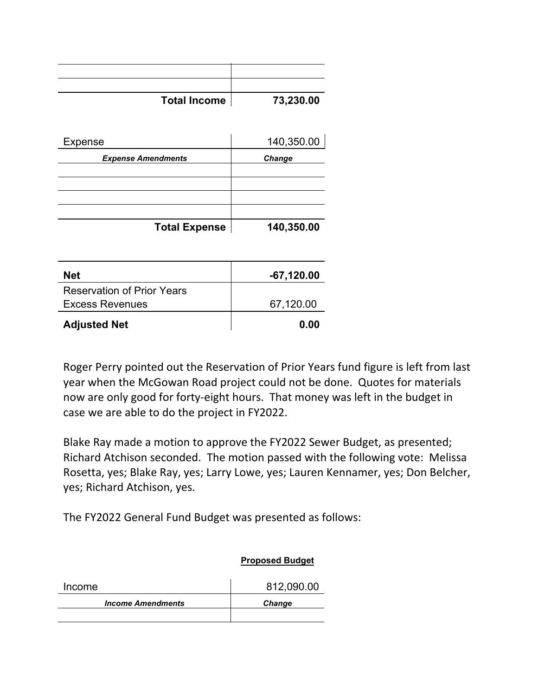| <b>Total Income</b>       | 73,230.00  |
|---------------------------|------------|
|                           |            |
| Expense                   | 140,350.00 |
| <b>Expense Amendments</b> | Change     |
|                           |            |
|                           |            |
| <b>Total Expense</b>      | 140,350.00 |
|                           |            |

| <b>Net</b>                        | $-67,120.00$ |
|-----------------------------------|--------------|
| <b>Reservation of Prior Years</b> |              |
| <b>Excess Revenues</b>            | 67,120.00    |
| <b>Adjusted Net</b>               | 0.00         |

Roger Perry pointed out the Reservation of Prior Years fund figure is left from last year when the McGowan Road project could not be done. Quotes for materials now are only good for forty-eight hours. That money was left in the budget in case we are able to do the project in FY2022.

Blake Ray made a motion to approve the FY2022 Sewer Budget, as presented; Richard Atchison seconded. The motion passed with the following vote: Melissa Rosetta, yes; Blake Ray, yes; Larry Lowe, yes; Lauren Kennamer, yes; Don Belcher, yes; Richard Atchison, yes.

The FY2022 General Fund Budget was presented as follows:

|                          | <b>Proposed Budget</b> |
|--------------------------|------------------------|
| Income                   | 812,090.00             |
| <b>Income Amendments</b> | <b>Change</b>          |
|                          |                        |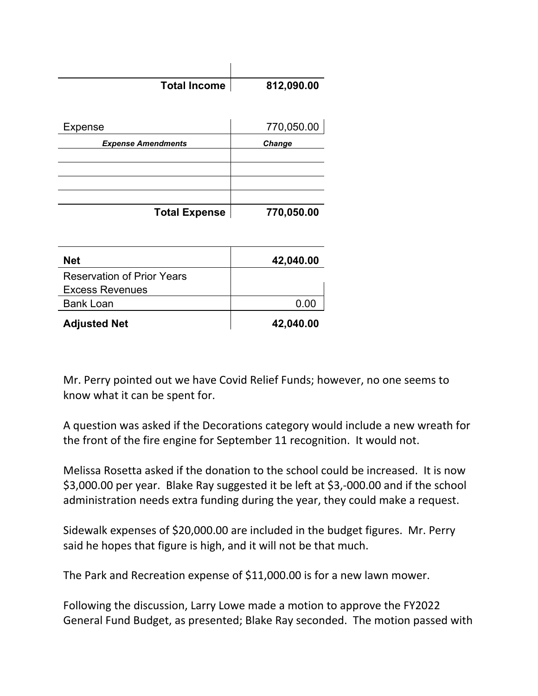| <b>Total Income</b>       | 812,090.00 |
|---------------------------|------------|
|                           |            |
|                           |            |
| Expense                   | 770,050.00 |
| <b>Expense Amendments</b> | Change     |
|                           |            |
|                           |            |
|                           |            |
|                           |            |
| <b>Total Expense</b>      | 770,050.00 |

| <b>Net</b>                        | 42,040.00 |
|-----------------------------------|-----------|
| <b>Reservation of Prior Years</b> |           |
| <b>Excess Revenues</b>            |           |
| <b>Bank Loan</b>                  | 0.00      |
| <b>Adjusted Net</b>               | 42,040.00 |

Mr. Perry pointed out we have Covid Relief Funds; however, no one seems to know what it can be spent for.

A question was asked if the Decorations category would include a new wreath for the front of the fire engine for September 11 recognition. It would not.

Melissa Rosetta asked if the donation to the school could be increased. It is now \$3,000.00 per year. Blake Ray suggested it be left at \$3,-000.00 and if the school administration needs extra funding during the year, they could make a request.

Sidewalk expenses of \$20,000.00 are included in the budget figures. Mr. Perry said he hopes that figure is high, and it will not be that much.

The Park and Recreation expense of \$11,000.00 is for a new lawn mower.

Following the discussion, Larry Lowe made a motion to approve the FY2022 General Fund Budget, as presented; Blake Ray seconded. The motion passed with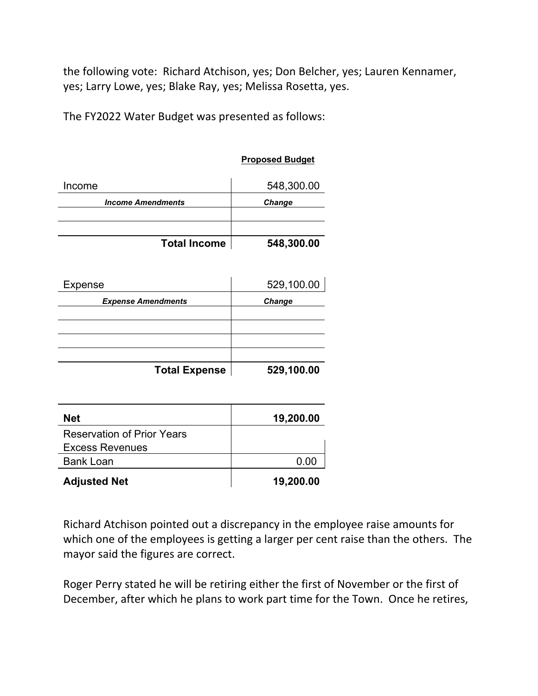the following vote: Richard Atchison, yes; Don Belcher, yes; Lauren Kennamer, yes; Larry Lowe, yes; Blake Ray, yes; Melissa Rosetta, yes.

**Proposed Budget**

The FY2022 Water Budget was presented as follows:

|                                                             | <u>poova Buugot</u> |
|-------------------------------------------------------------|---------------------|
| Income                                                      | 548,300.00          |
| <b>Income Amendments</b>                                    | Change              |
|                                                             |                     |
| <b>Total Income</b>                                         | 548,300.00          |
| Expense                                                     | 529,100.00          |
| <b>Expense Amendments</b>                                   | <b>Change</b>       |
|                                                             |                     |
|                                                             |                     |
| <b>Total Expense</b>                                        | 529,100.00          |
| <b>Net</b>                                                  | 19,200.00           |
| <b>Reservation of Prior Years</b><br><b>Excess Revenues</b> |                     |
| <b>Bank Loan</b>                                            | 0.00                |
| <b>Adjusted Net</b>                                         | 19,200.00           |

Richard Atchison pointed out a discrepancy in the employee raise amounts for which one of the employees is getting a larger per cent raise than the others. The mayor said the figures are correct.

Roger Perry stated he will be retiring either the first of November or the first of December, after which he plans to work part time for the Town. Once he retires,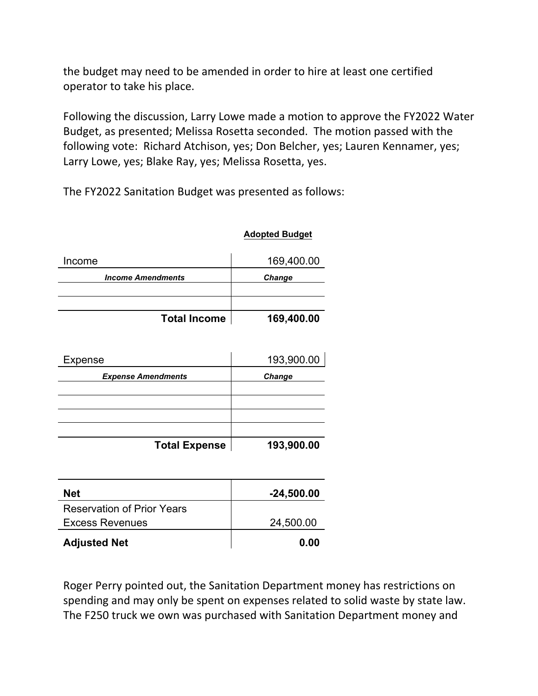the budget may need to be amended in order to hire at least one certified operator to take his place.

Following the discussion, Larry Lowe made a motion to approve the FY2022 Water Budget, as presented; Melissa Rosetta seconded. The motion passed with the following vote: Richard Atchison, yes; Don Belcher, yes; Lauren Kennamer, yes; Larry Lowe, yes; Blake Ray, yes; Melissa Rosetta, yes.

The FY2022 Sanitation Budget was presented as follows:

## **Adopted Budget**

| Income                   | 169,400.00    |
|--------------------------|---------------|
| <b>Income Amendments</b> | <b>Change</b> |
|                          |               |
| <b>Total Income</b>      | 169,400.00    |

| Expense                   | 193,900.00    |
|---------------------------|---------------|
| <b>Expense Amendments</b> | <b>Change</b> |
|                           |               |
|                           |               |
|                           |               |
| <b>Total Expense</b>      | 193,900.00    |

| <b>Net</b>                        | $-24,500.00$ |
|-----------------------------------|--------------|
| <b>Reservation of Prior Years</b> |              |
| <b>Excess Revenues</b>            | 24,500.00    |
| <b>Adjusted Net</b>               | 0.00         |

Roger Perry pointed out, the Sanitation Department money has restrictions on spending and may only be spent on expenses related to solid waste by state law. The F250 truck we own was purchased with Sanitation Department money and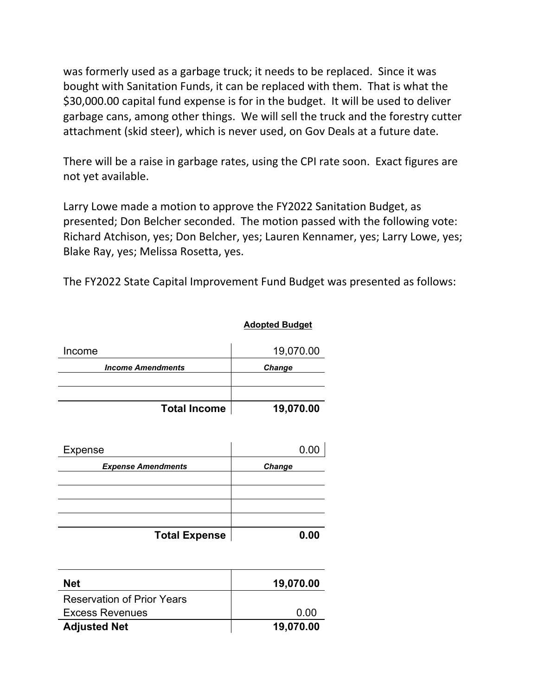was formerly used as a garbage truck; it needs to be replaced. Since it was bought with Sanitation Funds, it can be replaced with them. That is what the \$30,000.00 capital fund expense is for in the budget. It will be used to deliver garbage cans, among other things. We will sell the truck and the forestry cutter attachment (skid steer), which is never used, on Gov Deals at a future date.

There will be a raise in garbage rates, using the CPI rate soon. Exact figures are not yet available.

Larry Lowe made a motion to approve the FY2022 Sanitation Budget, as presented; Don Belcher seconded. The motion passed with the following vote: Richard Atchison, yes; Don Belcher, yes; Lauren Kennamer, yes; Larry Lowe, yes; Blake Ray, yes; Melissa Rosetta, yes.

The FY2022 State Capital Improvement Fund Budget was presented as follows:

**Adopted Budget**

| Income                   | 19,070.00 |
|--------------------------|-----------|
| <b>Income Amendments</b> | Change    |
| <b>Total Income</b>      | 19,070.00 |

| Expense                   | 0.00   |
|---------------------------|--------|
| <b>Expense Amendments</b> | Change |
|                           |        |
|                           |        |
|                           |        |
| <b>Total Expense</b>      | 0.00   |

| <b>Net</b>                        | 19,070.00 |
|-----------------------------------|-----------|
| <b>Reservation of Prior Years</b> |           |
| <b>Excess Revenues</b>            | 0.00      |
| <b>Adjusted Net</b>               | 19,070.00 |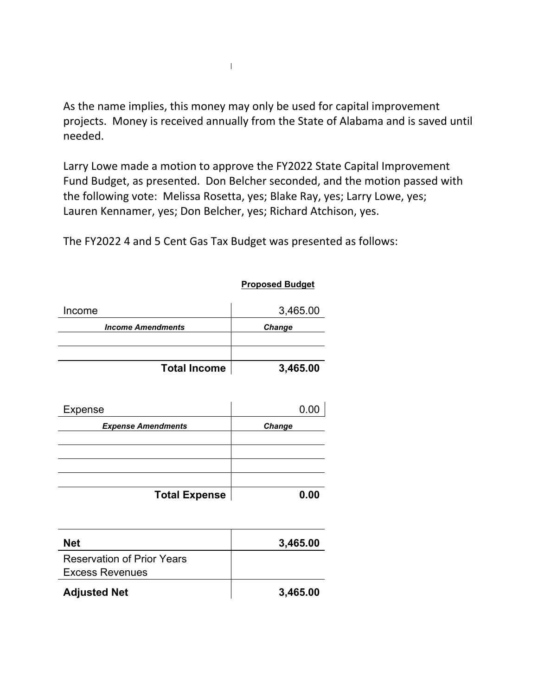As the name implies, this money may only be used for capital improvement projects. Money is received annually from the State of Alabama and is saved until needed.

Larry Lowe made a motion to approve the FY2022 State Capital Improvement Fund Budget, as presented. Don Belcher seconded, and the motion passed with the following vote: Melissa Rosetta, yes; Blake Ray, yes; Larry Lowe, yes; Lauren Kennamer, yes; Don Belcher, yes; Richard Atchison, yes.

The FY2022 4 and 5 Cent Gas Tax Budget was presented as follows:

| Income                            | 3,465.00 |
|-----------------------------------|----------|
| <b>Income Amendments</b>          | Change   |
|                                   |          |
| <b>Total Income</b>               | 3,465.00 |
|                                   |          |
| Expense                           | 0.00     |
| <b>Expense Amendments</b>         | Change   |
|                                   |          |
|                                   |          |
|                                   |          |
| <b>Total Expense</b>              | 0.00     |
|                                   |          |
| <b>Net</b>                        | 3,465.00 |
| <b>Reservation of Prior Years</b> |          |
| <b>Excess Revenues</b>            |          |
|                                   |          |

**Proposed Budget**

| <b>Net</b>                        | 3,465.00 |
|-----------------------------------|----------|
| <b>Reservation of Prior Years</b> |          |
| <b>Excess Revenues</b>            |          |
| <b>Adjusted Net</b>               | 3,465.00 |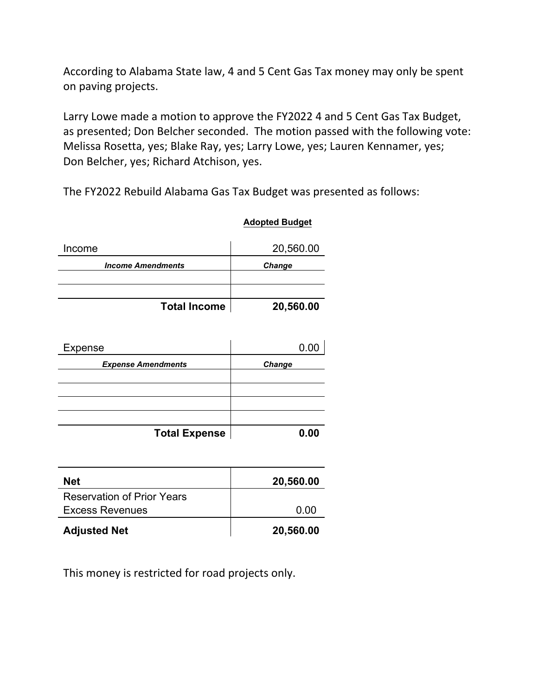According to Alabama State law, 4 and 5 Cent Gas Tax money may only be spent on paving projects.

Larry Lowe made a motion to approve the FY2022 4 and 5 Cent Gas Tax Budget, as presented; Don Belcher seconded. The motion passed with the following vote: Melissa Rosetta, yes; Blake Ray, yes; Larry Lowe, yes; Lauren Kennamer, yes; Don Belcher, yes; Richard Atchison, yes.

**Adopted Budget**

The FY2022 Rebuild Alabama Gas Tax Budget was presented as follows:

| Income                   | 20,560.00     |
|--------------------------|---------------|
| <b>Income Amendments</b> | <b>Change</b> |
|                          |               |
|                          |               |
| <b>Total Income</b>      | 20,560.00     |

| Expense                   | 0.00   |
|---------------------------|--------|
| <b>Expense Amendments</b> | Change |
|                           |        |
|                           |        |
|                           |        |
| <b>Total Expense</b>      | 0.00   |

| <b>Net</b>                        | 20,560.00 |
|-----------------------------------|-----------|
| <b>Reservation of Prior Years</b> |           |
| <b>Excess Revenues</b>            | 0.00      |
| <b>Adjusted Net</b>               | 20,560.00 |

This money is restricted for road projects only.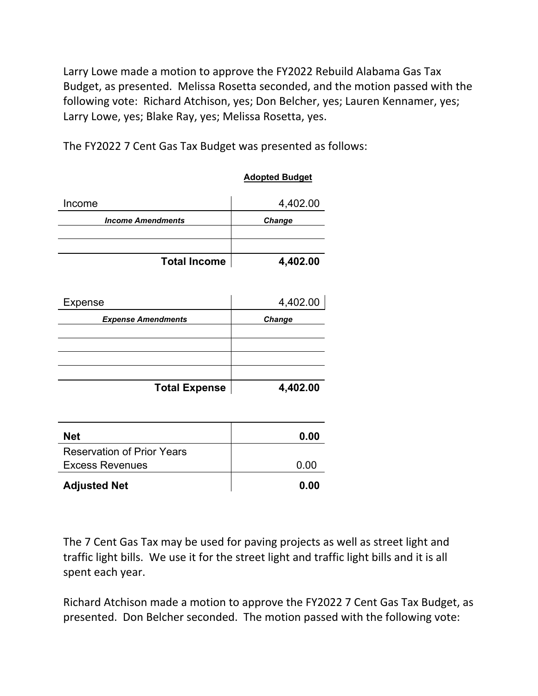Larry Lowe made a motion to approve the FY2022 Rebuild Alabama Gas Tax Budget, as presented. Melissa Rosetta seconded, and the motion passed with the following vote: Richard Atchison, yes; Don Belcher, yes; Lauren Kennamer, yes; Larry Lowe, yes; Blake Ray, yes; Melissa Rosetta, yes.

**Adopted Budget**

The FY2022 7 Cent Gas Tax Budget was presented as follows:

|                                   | $r \sim r \sim r \sim r \sim r$ |
|-----------------------------------|---------------------------------|
| Income                            | 4,402.00                        |
| <b>Income Amendments</b>          | Change                          |
|                                   |                                 |
|                                   |                                 |
| <b>Total Income</b>               | 4,402.00                        |
|                                   |                                 |
| Expense                           | 4,402.00                        |
| <b>Expense Amendments</b>         | <b>Change</b>                   |
|                                   |                                 |
|                                   |                                 |
|                                   |                                 |
| <b>Total Expense</b>              | 4,402.00                        |
|                                   |                                 |
|                                   |                                 |
| <b>Net</b>                        | 0.00                            |
| <b>Reservation of Prior Years</b> |                                 |
| <b>Excess Revenues</b>            | 0.00                            |
| <b>Adjusted Net</b>               | 0.00                            |

The 7 Cent Gas Tax may be used for paving projects as well as street light and traffic light bills. We use it for the street light and traffic light bills and it is all spent each year.

Richard Atchison made a motion to approve the FY2022 7 Cent Gas Tax Budget, as presented. Don Belcher seconded. The motion passed with the following vote: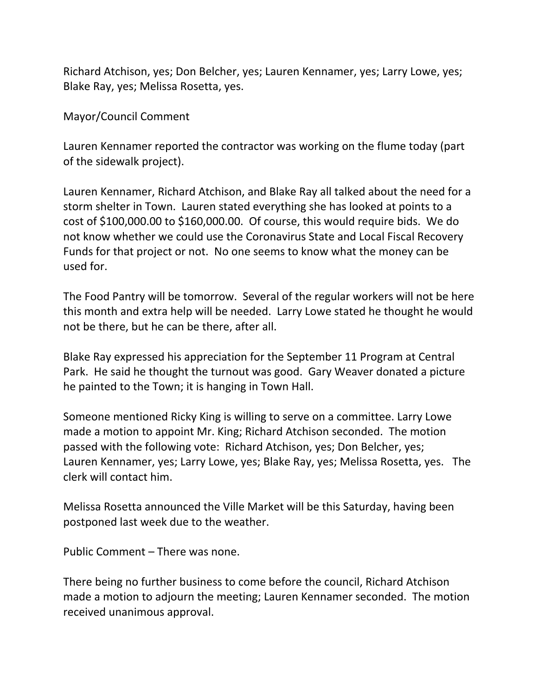Richard Atchison, yes; Don Belcher, yes; Lauren Kennamer, yes; Larry Lowe, yes; Blake Ray, yes; Melissa Rosetta, yes.

Mayor/Council Comment

Lauren Kennamer reported the contractor was working on the flume today (part of the sidewalk project).

Lauren Kennamer, Richard Atchison, and Blake Ray all talked about the need for a storm shelter in Town. Lauren stated everything she has looked at points to a cost of \$100,000.00 to \$160,000.00. Of course, this would require bids. We do not know whether we could use the Coronavirus State and Local Fiscal Recovery Funds for that project or not. No one seems to know what the money can be used for.

The Food Pantry will be tomorrow. Several of the regular workers will not be here this month and extra help will be needed. Larry Lowe stated he thought he would not be there, but he can be there, after all.

Blake Ray expressed his appreciation for the September 11 Program at Central Park. He said he thought the turnout was good. Gary Weaver donated a picture he painted to the Town; it is hanging in Town Hall.

Someone mentioned Ricky King is willing to serve on a committee. Larry Lowe made a motion to appoint Mr. King; Richard Atchison seconded. The motion passed with the following vote: Richard Atchison, yes; Don Belcher, yes; Lauren Kennamer, yes; Larry Lowe, yes; Blake Ray, yes; Melissa Rosetta, yes. The clerk will contact him.

Melissa Rosetta announced the Ville Market will be this Saturday, having been postponed last week due to the weather.

Public Comment – There was none.

There being no further business to come before the council, Richard Atchison made a motion to adjourn the meeting; Lauren Kennamer seconded. The motion received unanimous approval.